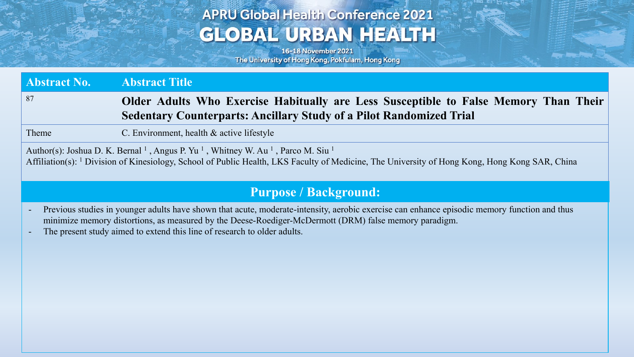## **APRU Global Health Conference 2021 GLOBAL URBAN HEALTH**

16-18 November 2021 The University of Hong Kong, Pokfulam, Hong Kong

**Abstract No. Abstract Title** <sup>87</sup> **Older Adults Who Exercise Habitually are Less Susceptible to False Memory Than Their Sedentary Counterparts: Ancillary Study of a Pilot Randomized Trial**

Theme C. Environment, health & active lifestyle

Author(s): Joshua D. K. Bernal<sup>1</sup>, Angus P. Yu<sup>1</sup>, Whitney W. Au<sup>1</sup>, Parco M. Siu<sup>1</sup> Affiliation(s): <sup>1</sup> Division of Kinesiology, School of Public Health, LKS Faculty of Medicine, The University of Hong Kong, Hong Kong SAR, China

#### **Purpose / Background:**

- Previous studies in younger adults have shown that acute, moderate-intensity, aerobic exercise can enhance episodic memory function and thus minimize memory distortions, as measured by the Deese-Roediger-McDermott (DRM) false memory paradigm.
- The present study aimed to extend this line of research to older adults.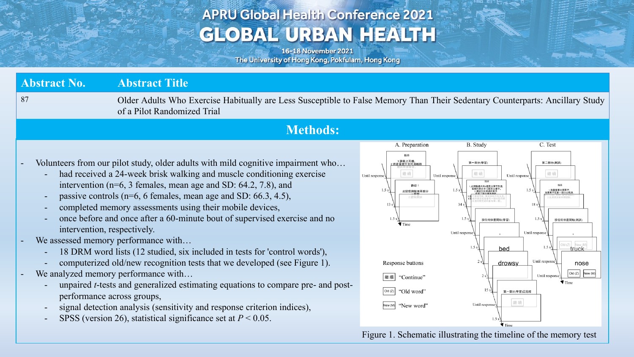# **APRU Global Health Conference 2021 GLOBAL URBAN HEALTH**

16-18 November 2021 The University of Hong Kong, Pokfulam, Hong Kong

| <b>Abstract No.</b>         | <b>Abstract Title</b>                                                                                                                                                                                                                                                                                                                                                                                                                                                                                                                                                                                                                                                                                                                                                                                                                                                                                                                                         |                                                                                                                                                                                                                                                       |                                                                                                                                                                                                                                                                                                                                                                                                                                                                           |  |  |  |  |  |
|-----------------------------|---------------------------------------------------------------------------------------------------------------------------------------------------------------------------------------------------------------------------------------------------------------------------------------------------------------------------------------------------------------------------------------------------------------------------------------------------------------------------------------------------------------------------------------------------------------------------------------------------------------------------------------------------------------------------------------------------------------------------------------------------------------------------------------------------------------------------------------------------------------------------------------------------------------------------------------------------------------|-------------------------------------------------------------------------------------------------------------------------------------------------------------------------------------------------------------------------------------------------------|---------------------------------------------------------------------------------------------------------------------------------------------------------------------------------------------------------------------------------------------------------------------------------------------------------------------------------------------------------------------------------------------------------------------------------------------------------------------------|--|--|--|--|--|
| 87                          | Older Adults Who Exercise Habitually are Less Susceptible to False Memory Than Their Sedentary Counterparts: Ancillary Study<br>of a Pilot Randomized Trial                                                                                                                                                                                                                                                                                                                                                                                                                                                                                                                                                                                                                                                                                                                                                                                                   |                                                                                                                                                                                                                                                       |                                                                                                                                                                                                                                                                                                                                                                                                                                                                           |  |  |  |  |  |
| <b>Methods:</b>             |                                                                                                                                                                                                                                                                                                                                                                                                                                                                                                                                                                                                                                                                                                                                                                                                                                                                                                                                                               |                                                                                                                                                                                                                                                       |                                                                                                                                                                                                                                                                                                                                                                                                                                                                           |  |  |  |  |  |
| intervention, respectively. | Volunteers from our pilot study, older adults with mild cognitive impairment who<br>had received a 24-week brisk walking and muscle conditioning exercise<br>intervention ( $n=6$ , 3 females, mean age and SD: 64.2, 7.8), and<br>passive controls ( $n=6$ , 6 females, mean age and SD: 66.3, 4.5),<br>completed memory assessments using their mobile devices,<br>once before and once after a 60-minute bout of supervised exercise and no<br>We assessed memory performance with<br>18 DRM word lists (12 studied, six included in tests for 'control words'),<br>computerized old/new recognition tests that we developed (see Figure 1).<br>We analyzed memory performance with<br>unpaired <i>t</i> -tests and generalized estimating equations to compare pre- and post-<br>performance across groups,<br>signal detection analysis (sensitivity and response criterion indices),<br>SPSS (version 26), statistical significance set at $P < 0.05$ . | A. Preparation<br>請戴上耳機<br>将音量提升到可清晰聆<br>繼續<br>Until response<br>Until response<br>歡迎!<br>1.5 <sub>s</sub><br>此記憶測驗有兩部分<br>認知測試<br>$\blacktriangledown$ Time<br>Response buttons<br>"Continue"<br>繼續<br>"Old word"<br>Old (Z)<br>"New word"<br>New(M) | C. Test<br><b>B.</b> Study<br>第一部分(學習)<br>第二部分(測試)<br>繼續<br>繼續<br>Until response<br>指示<br>Ⅰ此測驗總共有6個英文單字列表<br>- 每個列表包含15個英文單字。<br>- 2.請記住出現過的單字,<br>- 在第二部分會有理試<br>1.5 <sub>s</sub><br>1.5:<br>1.5 s<br>按任何位置開始(學習)<br>按任何位置開始(測試)<br>Until response<br>Until response<br>1.5<br>truck<br>bed<br>Until response<br>drowsy<br>nose<br>New (M)<br>Old (Z)<br>Until response<br>$\blacktriangledown$ Time<br>第一部分(學習)已完結<br>繼續<br>Until response<br>$\blacktriangledown$ Time |  |  |  |  |  |

Figure 1. Schematic illustrating the timeline of the memory test

Age from the ...